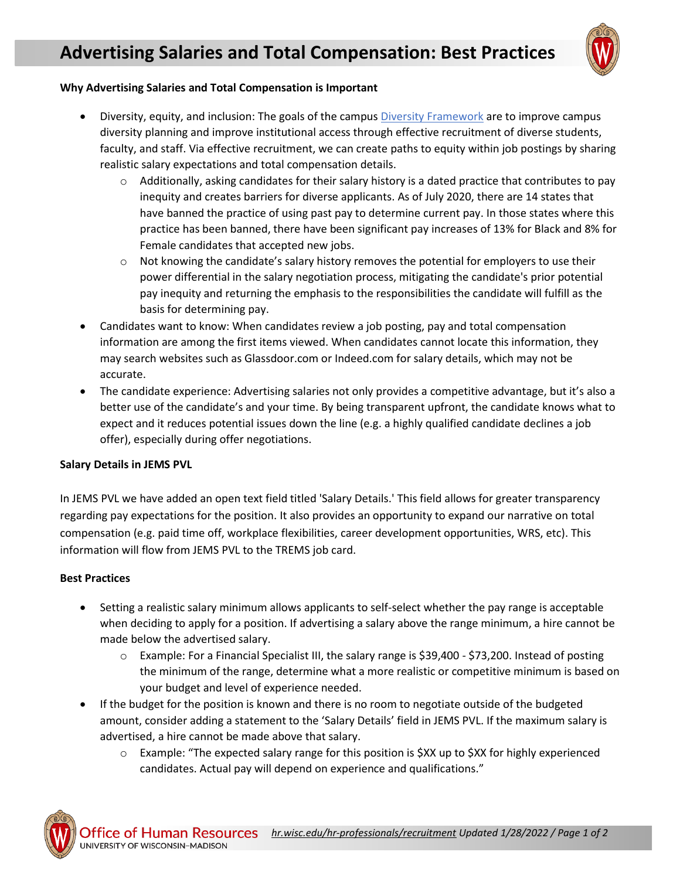

## **Why Advertising Salaries and Total Compensation is Important**

- Diversity, equity, and inclusion: The goals of the campus [Diversity Framework](https://diversity.wisc.edu/) are to improve campus diversity planning and improve institutional access through effective recruitment of diverse students, faculty, and staff. Via effective recruitment, we can create paths to equity within job postings by sharing realistic salary expectations and total compensation details.
	- $\circ$  Additionally, asking candidates for their salary history is a dated practice that contributes to pay inequity and creates barriers for diverse applicants. As of July 2020, there are 14 states that have banned the practice of using past pay to determine current pay. In those states where this practice has been banned, there have been significant pay increases of 13% for Black and 8% for Female candidates that accepted new jobs.
	- $\circ$  Not knowing the candidate's salary history removes the potential for employers to use their power differential in the salary negotiation process, mitigating the candidate's prior potential pay inequity and returning the emphasis to the responsibilities the candidate will fulfill as the basis for determining pay.
- Candidates want to know: When candidates review a job posting, pay and total compensation information are among the first items viewed. When candidates cannot locate this information, they may search websites such as Glassdoor.com or Indeed.com for salary details, which may not be accurate.
- The candidate experience: Advertising salaries not only provides a competitive advantage, but it's also a better use of the candidate's and your time. By being transparent upfront, the candidate knows what to expect and it reduces potential issues down the line (e.g. a highly qualified candidate declines a job offer), especially during offer negotiations.

## **Salary Details in JEMS PVL**

In JEMS PVL we have added an open text field titled 'Salary Details.' This field allows for greater transparency regarding pay expectations for the position. It also provides an opportunity to expand our narrative on total compensation (e.g. paid time off, workplace flexibilities, career development opportunities, WRS, etc). This information will flow from JEMS PVL to the TREMS job card.

## **Best Practices**

- Setting a realistic salary minimum allows applicants to self-select whether the pay range is acceptable when deciding to apply for a position. If advertising a salary above the range minimum, a hire cannot be made below the advertised salary.
	- o Example: For a Financial Specialist III, the salary range is \$39,400 \$73,200. Instead of posting the minimum of the range, determine what a more realistic or competitive minimum is based on your budget and level of experience needed.
- If the budget for the position is known and there is no room to negotiate outside of the budgeted amount, consider adding a statement to the 'Salary Details' field in JEMS PVL. If the maximum salary is advertised, a hire cannot be made above that salary.
	- $\circ$  Example: "The expected salary range for this position is \$XX up to \$XX for highly experienced candidates. Actual pay will depend on experience and qualifications."